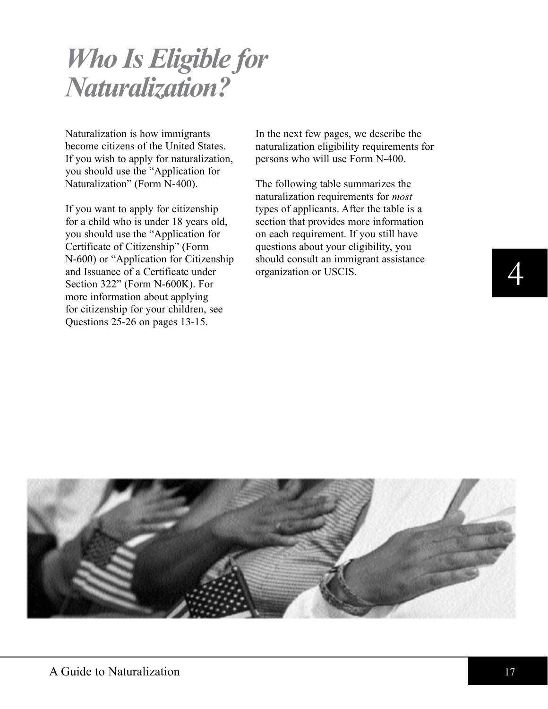# *Who Is Eligible for Naturalization?*

Naturalization is how immigrants become citizens of the United States. If you wish to apply for naturalization, you should use the "Application for Naturalization" (Form N-400).

If you want to apply for citizenship for a child who is under 18 years old, you should use the "Application for Certificate of Citizenship" (Form N-600) or "Application for Citizenship and Issuance of a Certificate under Section 322" (Form N-600K). For more information about applying for citizenship for your children, see questions 25-26 on pages 13-15.

In the next few pages, we describe the naturalization eligibility requirements for persons who will use Form N-400.

The following table summarizes the naturalization requirements for *most*  types of applicants. After the table is a section that provides more information on each requirement. If you still have questions about your eligibility, you should consult an immigrant assistance organization or USCIS.



4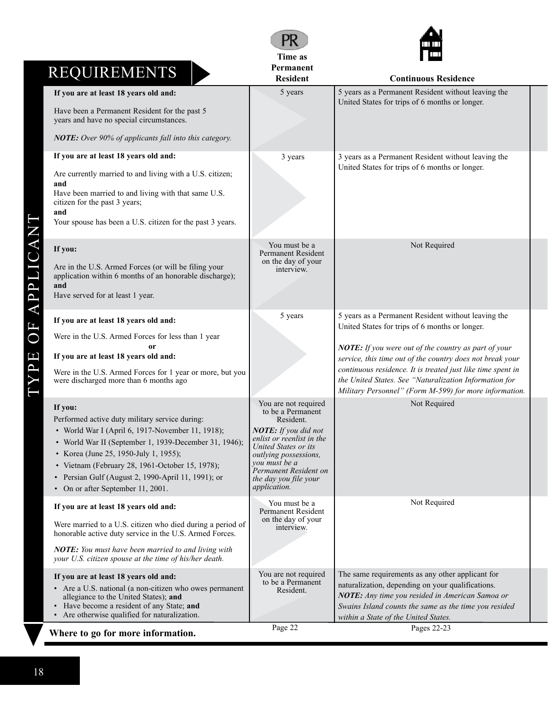|                                                                                                                            | Time as                                                                 | <b>TELESCOPE</b>                                                                                                         |  |
|----------------------------------------------------------------------------------------------------------------------------|-------------------------------------------------------------------------|--------------------------------------------------------------------------------------------------------------------------|--|
| <b>REQUIREMENTS</b>                                                                                                        | Permanent                                                               |                                                                                                                          |  |
|                                                                                                                            | <b>Resident</b><br>5 years                                              | <b>Continuous Residence</b><br>5 years as a Permanent Resident without leaving the                                       |  |
| If you are at least 18 years old and:                                                                                      |                                                                         | United States for trips of 6 months or longer.                                                                           |  |
| Have been a Permanent Resident for the past 5<br>years and have no special circumstances.                                  |                                                                         |                                                                                                                          |  |
| NOTE: Over 90% of applicants fall into this category.                                                                      |                                                                         |                                                                                                                          |  |
| If you are at least 18 years old and:                                                                                      | 3 years                                                                 | 3 years as a Permanent Resident without leaving the                                                                      |  |
| Are currently married to and living with a U.S. citizen;<br>and                                                            |                                                                         | United States for trips of 6 months or longer.                                                                           |  |
| Have been married to and living with that same U.S.<br>citizen for the past 3 years;<br>and                                |                                                                         |                                                                                                                          |  |
| Your spouse has been a U.S. citizen for the past 3 years.                                                                  |                                                                         |                                                                                                                          |  |
| If you:<br>Are in the U.S. Armed Forces (or will be filing your<br>application within 6 months of an honorable discharge); | You must be a<br>Permanent Resident<br>on the day of your<br>interview. | Not Required                                                                                                             |  |
| and<br>Have served for at least 1 year.                                                                                    |                                                                         |                                                                                                                          |  |
| If you are at least 18 years old and:                                                                                      | 5 years                                                                 | 5 years as a Permanent Resident without leaving the<br>United States for trips of 6 months or longer.                    |  |
| Were in the U.S. Armed Forces for less than 1 year                                                                         |                                                                         |                                                                                                                          |  |
| If you are at least 18 years old and:                                                                                      |                                                                         | NOTE: If you were out of the country as part of your                                                                     |  |
| Were in the U.S. Armed Forces for 1 year or more, but you                                                                  |                                                                         | service, this time out of the country does not break your<br>continuous residence. It is treated just like time spent in |  |
| were discharged more than 6 months ago                                                                                     |                                                                         | the United States. See "Naturalization Information for<br>Military Personnel" (Form M-599) for more information.         |  |
| If you:                                                                                                                    | You are not required<br>to be a Permanent                               | Not Required                                                                                                             |  |
| Performed active duty military service during:<br>• World War I (April 6, 1917-November 11, 1918);                         | Resident.<br>NOTE: If you did not                                       |                                                                                                                          |  |
| • World War II (September 1, 1939-December 31, 1946);                                                                      | enlist or reenlist in the<br>United States or its                       |                                                                                                                          |  |
| • Korea (June 25, 1950-July 1, 1955);                                                                                      | outlying possessions,                                                   |                                                                                                                          |  |
| • Vietnam (February 28, 1961-October 15, 1978);<br>• Persian Gulf (August 2, 1990-April 11, 1991); or                      | you must be a<br>Permanent Resident on                                  |                                                                                                                          |  |
| • On or after September 11, 2001.                                                                                          | the day you file your<br>application.                                   |                                                                                                                          |  |
| If you are at least 18 years old and:                                                                                      | You must be a<br><b>Permanent Resident</b>                              | Not Required                                                                                                             |  |
| Were married to a U.S. citizen who died during a period of<br>honorable active duty service in the U.S. Armed Forces.      | on the day of your<br>interview.                                        |                                                                                                                          |  |
| NOTE: You must have been married to and living with<br>your U.S. citizen spouse at the time of his/her death.              |                                                                         |                                                                                                                          |  |
| If you are at least 18 years old and:                                                                                      | You are not required<br>to be a Permanent                               | The same requirements as any other applicant for                                                                         |  |
| • Are a U.S. national (a non-citizen who owes permanent<br>allegiance to the United States); and                           | Resident.                                                               | naturalization, depending on your qualifications.<br>NOTE: Any time you resided in American Samoa or                     |  |
| • Have become a resident of any State; and                                                                                 |                                                                         | Swains Island counts the same as the time you resided                                                                    |  |
| • Are otherwise qualified for naturalization.                                                                              |                                                                         | within a State of the United States.                                                                                     |  |
| Where to go for more information.                                                                                          | Page 22                                                                 | Pages 22-23                                                                                                              |  |

PR

# TYPE OF APPLICANT TYPE OF APPLICANT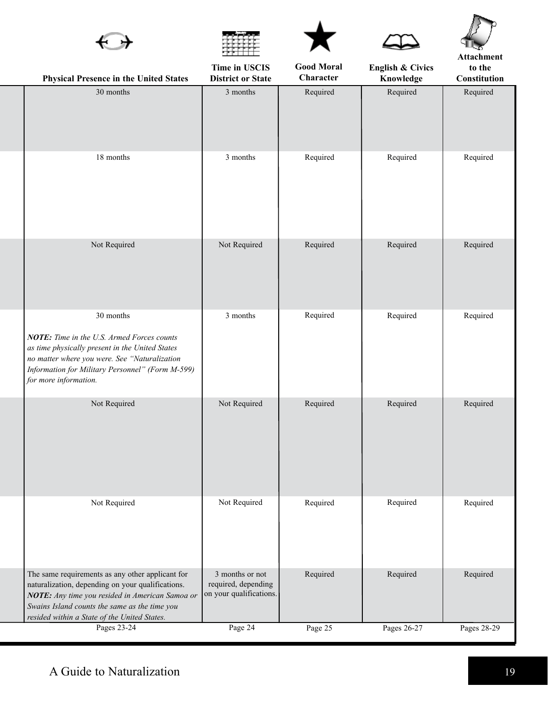|                                                                                                                                                                                                                                                           |                                                                   |                                |                                          | Attachment             |
|-----------------------------------------------------------------------------------------------------------------------------------------------------------------------------------------------------------------------------------------------------------|-------------------------------------------------------------------|--------------------------------|------------------------------------------|------------------------|
| <b>Physical Presence in the United States</b>                                                                                                                                                                                                             | Time in USCIS<br><b>District or State</b>                         | <b>Good Moral</b><br>Character | <b>English &amp; Civics</b><br>Knowledge | to the<br>Constitution |
| 30 months                                                                                                                                                                                                                                                 | 3 months                                                          | Required                       | Required                                 | Required               |
| 18 months                                                                                                                                                                                                                                                 | 3 months                                                          | Required                       | Required                                 | Required               |
| Not Required                                                                                                                                                                                                                                              | Not Required                                                      | Required                       | Required                                 | Required               |
| 30 months<br>NOTE: Time in the U.S. Armed Forces counts<br>as time physically present in the United States<br>no matter where you were. See "Naturalization<br>Information for Military Personnel" (Form M-599)<br>for more information.                  | 3 months                                                          | Required                       | Required                                 | Required               |
| Not Required                                                                                                                                                                                                                                              | Not Required                                                      | Required                       | Required                                 | Required               |
| Not Required                                                                                                                                                                                                                                              | Not Required                                                      | Required                       | Required                                 | Required               |
| The same requirements as any other applicant for<br>naturalization, depending on your qualifications.<br>NOTE: Any time you resided in American Samoa or<br>Swains Island counts the same as the time you<br>resided within a State of the United States. | 3 months or not<br>required, depending<br>on your qualifications. | Required                       | Required                                 | Required               |
| Pages 23-24                                                                                                                                                                                                                                               | Page 24                                                           | Page 25                        | Pages 26-27                              | Pages 28-29            |

 $\blacktriangle$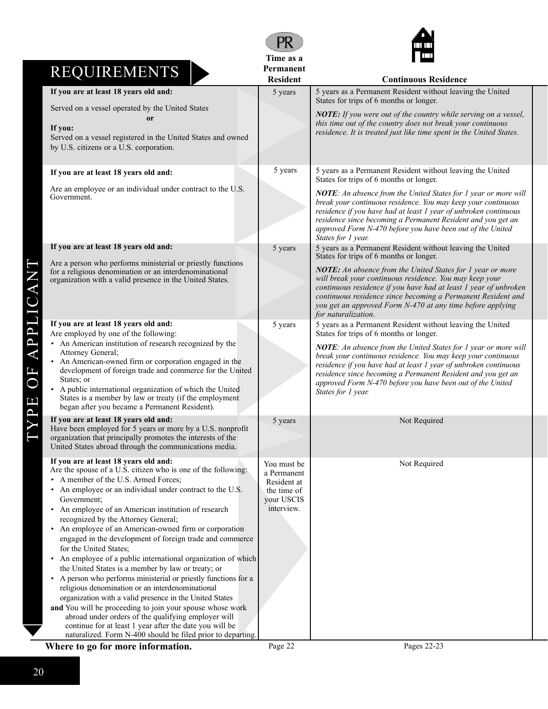|                                         |                                                                                                                                                                                                                                                                                                                                                                                                                                                                                                                                                                                                                                                                                                                                                                                                                                                                                                                                                                                                                                  | PR                                                                                   |                                                                                                                                                                                                                                                                                                                                                          |
|-----------------------------------------|----------------------------------------------------------------------------------------------------------------------------------------------------------------------------------------------------------------------------------------------------------------------------------------------------------------------------------------------------------------------------------------------------------------------------------------------------------------------------------------------------------------------------------------------------------------------------------------------------------------------------------------------------------------------------------------------------------------------------------------------------------------------------------------------------------------------------------------------------------------------------------------------------------------------------------------------------------------------------------------------------------------------------------|--------------------------------------------------------------------------------------|----------------------------------------------------------------------------------------------------------------------------------------------------------------------------------------------------------------------------------------------------------------------------------------------------------------------------------------------------------|
|                                         |                                                                                                                                                                                                                                                                                                                                                                                                                                                                                                                                                                                                                                                                                                                                                                                                                                                                                                                                                                                                                                  | Time as a<br>Permanent                                                               |                                                                                                                                                                                                                                                                                                                                                          |
|                                         | <b>REQUIREMENTS</b>                                                                                                                                                                                                                                                                                                                                                                                                                                                                                                                                                                                                                                                                                                                                                                                                                                                                                                                                                                                                              | <b>Resident</b>                                                                      | <b>Continuous Residence</b>                                                                                                                                                                                                                                                                                                                              |
|                                         | If you are at least 18 years old and:                                                                                                                                                                                                                                                                                                                                                                                                                                                                                                                                                                                                                                                                                                                                                                                                                                                                                                                                                                                            | 5 years                                                                              | 5 years as a Permanent Resident without leaving the United<br>States for trips of 6 months or longer.                                                                                                                                                                                                                                                    |
|                                         | Served on a vessel operated by the United States<br><sub>or</sub><br>If you:<br>Served on a vessel registered in the United States and owned<br>by U.S. citizens or a U.S. corporation.                                                                                                                                                                                                                                                                                                                                                                                                                                                                                                                                                                                                                                                                                                                                                                                                                                          |                                                                                      | <b>NOTE:</b> If you were out of the country while serving on a vessel,<br>this time out of the country does not break your continuous<br>residence. It is treated just like time spent in the United States.                                                                                                                                             |
|                                         | If you are at least 18 years old and:                                                                                                                                                                                                                                                                                                                                                                                                                                                                                                                                                                                                                                                                                                                                                                                                                                                                                                                                                                                            | 5 years                                                                              | 5 years as a Permanent Resident without leaving the United<br>States for trips of 6 months or longer.                                                                                                                                                                                                                                                    |
|                                         | Are an employee or an individual under contract to the U.S.<br>Government.                                                                                                                                                                                                                                                                                                                                                                                                                                                                                                                                                                                                                                                                                                                                                                                                                                                                                                                                                       |                                                                                      | NOTE: An absence from the United States for 1 year or more will<br>break your continuous residence. You may keep your continuous<br>residence if you have had at least 1 year of unbroken continuous<br>residence since becoming a Permanent Resident and you get an<br>approved Form N-470 before you have been out of the United<br>States for 1 year. |
|                                         | If you are at least 18 years old and:                                                                                                                                                                                                                                                                                                                                                                                                                                                                                                                                                                                                                                                                                                                                                                                                                                                                                                                                                                                            | 5 years                                                                              | 5 years as a Permanent Resident without leaving the United<br>States for trips of 6 months or longer.                                                                                                                                                                                                                                                    |
|                                         | Are a person who performs ministerial or priestly functions<br>for a religious denomination or an interdenominational<br>organization with a valid presence in the United States.                                                                                                                                                                                                                                                                                                                                                                                                                                                                                                                                                                                                                                                                                                                                                                                                                                                |                                                                                      | <b>NOTE:</b> An absence from the United States for 1 year or more<br>will break your continuous residence. You may keep your<br>continuous residence if you have had at least 1 year of unbroken<br>continuous residence since becoming a Permanent Resident and<br>you get an approved Form N-470 at any time before applying<br>for naturalization.    |
| <b>PP</b>                               | If you are at least 18 years old and:<br>Are employed by one of the following:                                                                                                                                                                                                                                                                                                                                                                                                                                                                                                                                                                                                                                                                                                                                                                                                                                                                                                                                                   | 5 years                                                                              | 5 years as a Permanent Resident without leaving the United<br>States for trips of 6 months or longer.                                                                                                                                                                                                                                                    |
| $\mathbf{r}$<br>$\overline{\mathbf{L}}$ | • An American institution of research recognized by the<br>Attorney General;<br>• An American-owned firm or corporation engaged in the<br>development of foreign trade and commerce for the United<br>States; or<br>• A public international organization of which the United<br>States is a member by law or treaty (if the employment<br>began after you became a Permanent Resident).                                                                                                                                                                                                                                                                                                                                                                                                                                                                                                                                                                                                                                         |                                                                                      | NOTE: An absence from the United States for 1 year or more will<br>break your continuous residence. You may keep your continuous<br>residence if you have had at least 1 year of unbroken continuous<br>residence since becoming a Permanent Resident and you get an<br>approved Form N-470 before you have been out of the United<br>States for 1 year. |
|                                         | If you are at least 18 years old and:<br>Have been employed for 5 years or more by a U.S. nonprofit<br>organization that principally promotes the interests of the<br>United States abroad through the communications media.                                                                                                                                                                                                                                                                                                                                                                                                                                                                                                                                                                                                                                                                                                                                                                                                     | 5 years                                                                              | Not Required                                                                                                                                                                                                                                                                                                                                             |
|                                         | If you are at least 18 years old and:<br>Are the spouse of a U.S. citizen who is one of the following:<br>• A member of the U.S. Armed Forces;<br>• An employee or an individual under contract to the U.S.<br>Government;<br>• An employee of an American institution of research<br>recognized by the Attorney General;<br>• An employee of an American-owned firm or corporation<br>engaged in the development of foreign trade and commerce<br>for the United States;<br>• An employee of a public international organization of which<br>the United States is a member by law or treaty; or<br>• A person who performs ministerial or priestly functions for a<br>religious denomination or an interdenominational<br>organization with a valid presence in the United States<br>and You will be proceeding to join your spouse whose work<br>abroad under orders of the qualifying employer will<br>continue for at least 1 year after the date you will be<br>naturalized. Form N-400 should be filed prior to departing. | You must be<br>a Permanent<br>Resident at<br>the time of<br>your USCIS<br>interview. | Not Required                                                                                                                                                                                                                                                                                                                                             |
|                                         | Where to go for more information.                                                                                                                                                                                                                                                                                                                                                                                                                                                                                                                                                                                                                                                                                                                                                                                                                                                                                                                                                                                                | Page 22                                                                              | Pages 22-23                                                                                                                                                                                                                                                                                                                                              |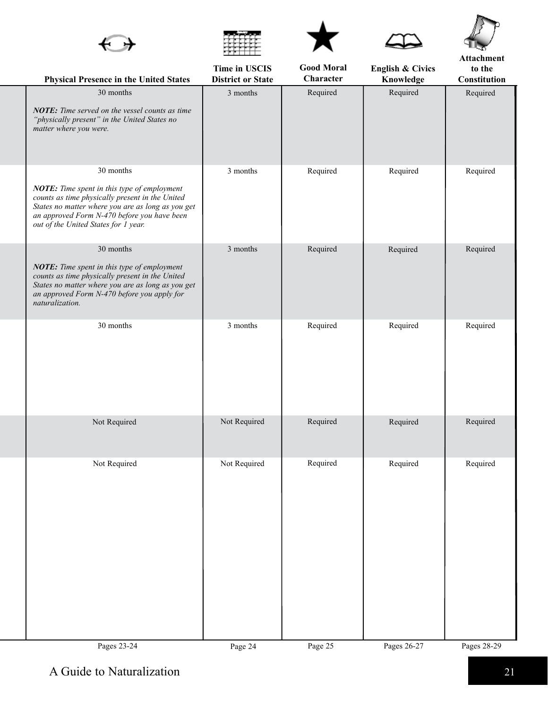|                                                                                                                                                                                                                                                         |                                           |                                |                                          | Attachment             |
|---------------------------------------------------------------------------------------------------------------------------------------------------------------------------------------------------------------------------------------------------------|-------------------------------------------|--------------------------------|------------------------------------------|------------------------|
| Physical Presence in the United States                                                                                                                                                                                                                  | Time in USCIS<br><b>District or State</b> | <b>Good Moral</b><br>Character | <b>English &amp; Civics</b><br>Knowledge | to the<br>Constitution |
| 30 months<br>NOTE: Time served on the vessel counts as time<br>"physically present" in the United States no<br>matter where you were.                                                                                                                   | 3 months                                  | Required                       | Required                                 | Required               |
| 30 months<br>NOTE: Time spent in this type of employment<br>counts as time physically present in the United<br>States no matter where you are as long as you get<br>an approved Form N-470 before you have been<br>out of the United States for 1 year. | 3 months                                  | Required                       | Required                                 | Required               |
| 30 months<br>NOTE: Time spent in this type of employment<br>counts as time physically present in the United<br>States no matter where you are as long as you get<br>an approved Form N-470 before you apply for<br>naturalization.                      | 3 months                                  | Required                       | Required                                 | Required               |
| 30 months                                                                                                                                                                                                                                               | 3 months                                  | Required                       | Required                                 | Required               |
| Not Required                                                                                                                                                                                                                                            | Not Required                              | Required                       | Required                                 | Required               |
| Not Required                                                                                                                                                                                                                                            | Not Required                              | Required                       | Required                                 | Required               |
| Pages 23-24                                                                                                                                                                                                                                             | Page 24                                   | Page 25                        | Pages 26-27                              | Pages 28-29            |

 $\blacktriangle$ 

Æ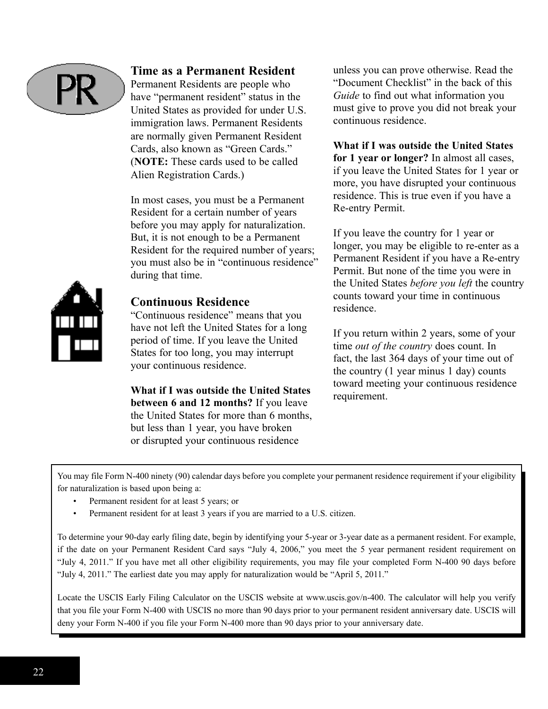

### **Time as a Permanent Resident**

Permanent Residents are people who have "permanent resident" status in the United States as provided for under U.S. immigration laws. Permanent Residents are normally given Permanent Resident Cards, also known as "Green Cards." (**NOTE**: These cards used to be called Alien Registration Cards.)

In most cases, you must be a Permanent Resident for a certain number of years before you may apply for naturalization. But, it is not enough to be a Permanent Resident for the required number of years; you must also be in "continuous residence" during that time.



#### **Continuous Residence**

"Continuous residence" means that you have not left the United States for a long period of time. If you leave the United States for too long, you may interrupt your continuous residence.

**What if I was outside the United States between 6 and 12 months?** If you leave the United States for more than 6 months, but less than 1 year, you have broken or disrupted your continuous residence

unless you can prove otherwise. Read the "Document Checklist" in the back of this *Guide* to find out what information you must give to prove you did not break your continuous residence.

**What if I was outside the United States for 1 year or longer?** In almost all cases, if you leave the United States for 1 year or more, you have disrupted your continuous residence. This is true even if you have a Re-entry Permit.

If you leave the country for 1 year or longer, you may be eligible to re-enter as a Permanent Resident if you have a Re-entry Permit. But none of the time you were in the United States *before you left* the country counts toward your time in continuous residence.

If you return within 2 years, some of your time *out of the country* does count. In fact, the last 364 days of your time out of the country (1 year minus 1 day) counts toward meeting your continuous residence requirement.

You may file Form N-400 ninety (90) calendar days before you complete your permanent residence requirement if your eligibility for naturalization is based upon being a:

- Permanent resident for at least 5 years; or
- Permanent resident for at least 3 years if you are married to a U.S. citizen.

To determine your 90-day early filing date, begin by identifying your 5-year or 3-year date as a permanent resident. For example, if the date on your Permanent Resident Card says "July 4, 2006," you meet the 5 year permanent resident requirement on "July 4, 2011." If you have met all other eligibility requirements, you may file your completed Form N-400 90 days before "July 4, 2011." The earliest date you may apply for naturalization would be "April 5, 2011."

Locate the USCIS Early Filing Calculator on the USCIS website at www.uscis.gov/n-400. The calculator will help you verify that you file your Form N-400 with USCIS no more than 90 days prior to your permanent resident anniversary date. USCIS will deny your Form N-400 if you file your Form N-400 more than 90 days prior to your anniversary date.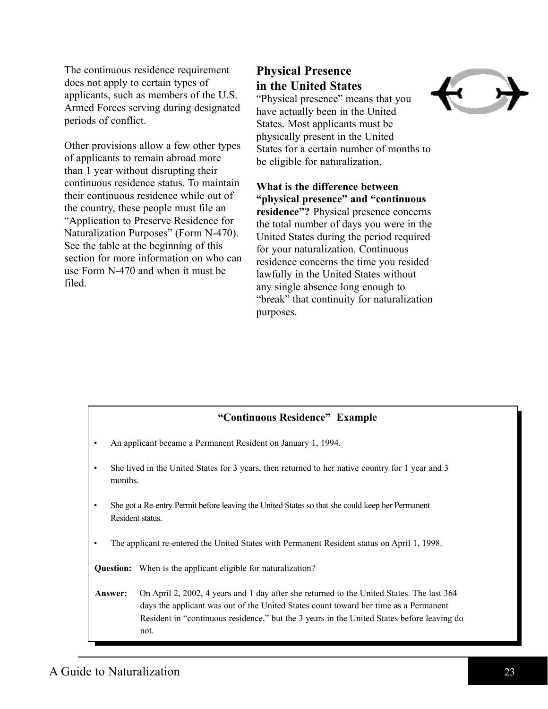The continuous residence requirement does not apply to certain types of applicants, such as members of the U.S. Armed Forces serving during designated periods of conflict.

Other provisions allow a few other types of applicants to remain abroad more than 1 year without disrupting their continuous residence status. To maintain their continuous residence while out of the country, these people must file an "Application to Preserve Residence for Naturalization Purposes" (Form N-470). See the table at the beginning of this section for more information on who can use Form N-470 and when it must be filed.

# **Physical Presence in the United States**

"Physical presence" means that you have actually been in the United States. Most applicants must be physically present in the United States for a certain number of months to be eligible for naturalization.

**What is the difference between "physical presence" and "continuous residence"?** Physical presence concerns the total number of days you were in the United States during the period required for your naturalization. Continuous residence concerns the time you resided lawfully in the United States without any single absence long enough to "break" that continuity for naturalization purposes.

#### **"Continuous Residence" Example**

- An applicant became a Permanent Resident on January 1, 1994.
- She lived in the United States for 3 years, then returned to her native country for 1 year and 3 months.
- She got a Re-entry Permit before leaving the United States so that she could keep her Permanent Resident status.
- The applicant re-entered the United States with Permanent Resident status on April 1, 1998.

**Question:** When is the applicant eligible for naturalization?

#### **Answer:** On April 2, 2002, 4 years and 1 day after she returned to the United States. The last 364 days the applicant was out of the United States count toward her time as a Permanent Resident in "continuous residence," but the 3 years in the United States before leaving do not.

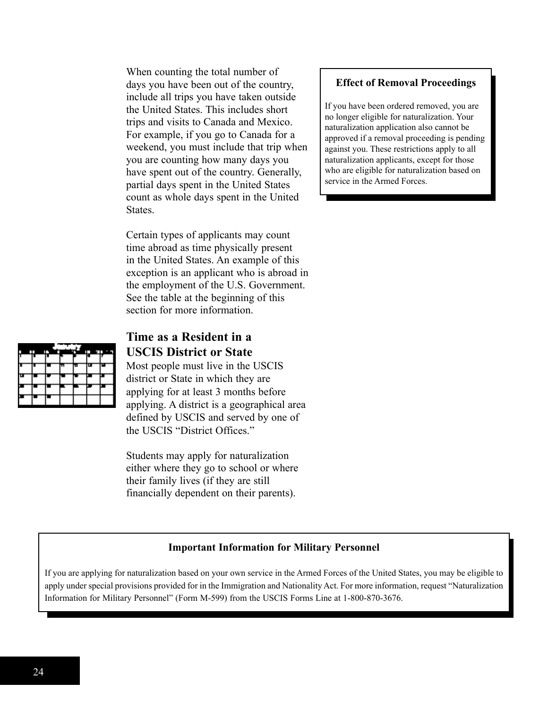When counting the total number of days you have been out of the country, include all trips you have taken outside the United States. This includes short trips and visits to Canada and Mexico. For example, if you go to Canada for a weekend, you must include that trip when you are counting how many days you have spent out of the country. Generally, partial days spent in the United States count as whole days spent in the United **States**.

Certain types of applicants may count time abroad as time physically present in the United States. An example of this exception is an applicant who is abroad in the employment of the U.S. Government. See the table at the beginning of this section for more information.



# **Time as a Resident in a USCIS District or State**

Most people must live in the USCIS district or State in which they are applying for at least 3 months before applying. A district is a geographical area defined by USCIS and served by one of the USCIS "District Offices"

Students may apply for naturalization either where they go to school or where their family lives (if they are still financially dependent on their parents).

#### **Effect of Removal Proceedings**

If you have been ordered removed, you are no longer eligible for naturalization. Your naturalization application also cannot be approved if a removal proceeding is pending against you. These restrictions apply to all naturalization applicants, except for those who are eligible for naturalization based on service in the Armed Forces.

#### **Important Information for Military Personnel**

If you are applying for naturalization based on your own service in the Armed Forces of the United States, you may be eligible to apply under special provisions provided for in the Immigration and Nationality Act. For more information, request "Naturalization Information for Military Personnel" (Form M-599) from the USCIS Forms Line at 1-800-870-3676.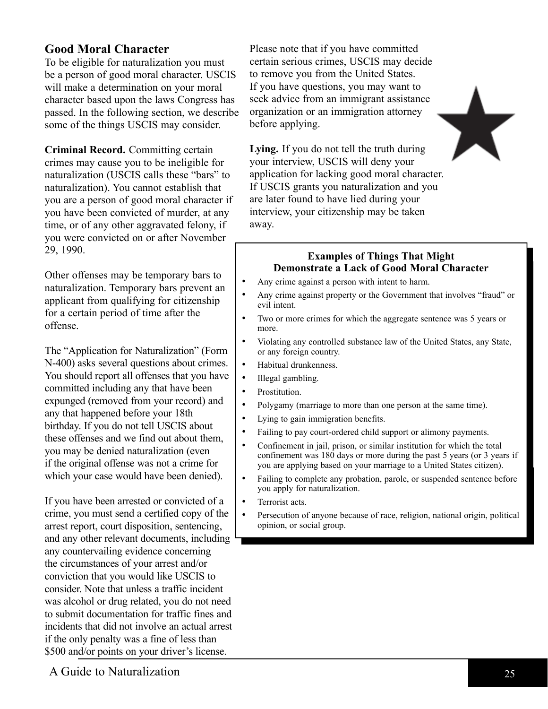# **Good Moral Character**

To be eligible for naturalization you must be a person of good moral character. USCIS will make a determination on your moral character based upon the laws Congress has passed. In the following section, we describe some of the things USCIS may consider.

**Criminal Record.** Committing certain crimes may cause you to be ineligible for naturalization (USCIS calls these "bars" to naturalization). You cannot establish that you are a person of good moral character if you have been convicted of murder, at any time, or of any other aggravated felony, if you were convicted on or after November 29, 1990.

Other offenses may be temporary bars to naturalization. Temporary bars prevent an applicant from qualifying for citizenship for a certain period of time after the offense.

The "Application for Naturalization" (Form N-400) asks several questions about crimes. You should report all offenses that you have committed including any that have been expunged (removed from your record) and any that happened before your 18th birthday. If you do not tell USCIS about these offenses and we find out about them, you may be denied naturalization (even if the original offense was not a crime for which your case would have been denied).

If you have been arrested or convicted of a crime, you must send a certified copy of the arrest report, court disposition, sentencing, and any other relevant documents, including any countervailing evidence concerning the circumstances of your arrest and/or conviction that you would like USCIS to consider. Note that unless a traffic incident was alcohol or drug related, you do not need to submit documentation for traffic fines and incidents that did not involve an actual arrest if the only penalty was a fine of less than \$500 and/or points on your driver's license.

Please note that if you have committed certain serious crimes, USCIS may decide to remove you from the United States. If you have questions, you may want to seek advice from an immigrant assistance organization or an immigration attorney before applying.

**Lying.** If you do not tell the truth during your interview, USCIS will deny your application for lacking good moral character. If USCIS grants you naturalization and you are later found to have lied during your interview, your citizenship may be taken away.

#### **Examples** of Things That Might **Demonstrate a Lack of Good Moral Character**

- Any crime against a person with intent to harm.
- Any crime against property or the Government that involves "fraud" or evil intent.
- Two or more crimes for which the aggregate sentence was 5 years or more.
- Violating any controlled substance law of the United States, any State, or any foreign country.
- Habitual drunkenness.
- Illegal gambling.
- Prostitution.
- Polygamy (marriage to more than one person at the same time).
- Lying to gain immigration benefits.
- Failing to pay court-ordered child support or alimony payments.
- Confinement in jail, prison, or similar institution for which the total confinement was 180 days or more during the past 5 years (or 3 years if you are applying based on your marriage to a United States citizen).
- Failing to complete any probation, parole, or suspended sentence before you apply for naturalization.
- Terrorist acts.
- Persecution of anyone because of race, religion, national origin, political opinion, or social group.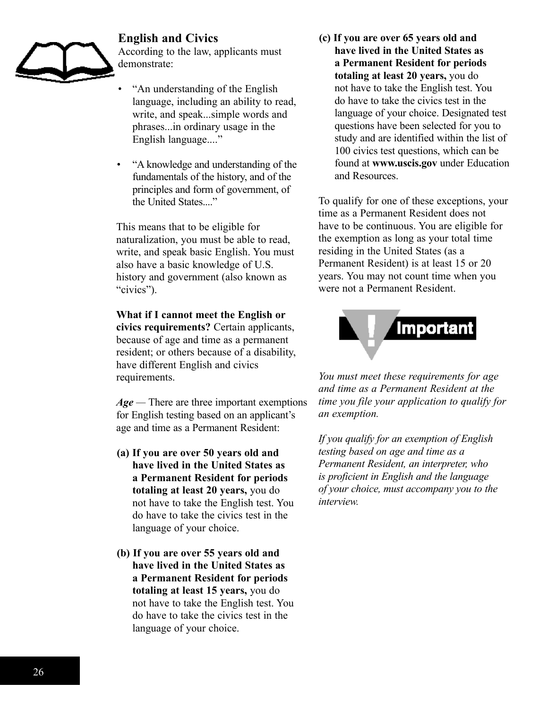# **English and Civics**



According to the law, applicants must demonstrate:

- "An understanding of the English" language, including an ability to read, write, and speak...simple words and phrases...in ordinary usage in the English language...."
- "a knowledge and understanding of the fundamentals of the history, and of the principles and form of government, of the United States...."

This means that to be eligible for naturalization, you must be able to read, write, and speak basic English. You must also have a basic knowledge of U.S. history and government (also known as "civics").

**What if I cannot meet the English or civics requirements?** Certain applicants, because of age and time as a permanent resident; or others because of a disability, have different English and civics requirements.

*Age —* There are three important exemptions for English testing based on an applicant's age and time as a Permanent Resident:

- **(a) If you are over 50 years old and have lived in the United States as a Permanent Resident for periods totaling at least 20 years,** you do not have to take the English test. You do have to take the civics test in the language of your choice.
- **(b) If you are over 55 years old and have lived in the United States as a Permanent Resident for periods totaling at least 15 years,** you do not have to take the English test. You do have to take the civics test in the language of your choice.

**(c) If you are over 65 years old and have lived in the United States as a Permanent Resident for periods totaling at least 20 years,** you do not have to take the English test. You do have to take the civics test in the language of your choice. Designated test questions have been selected for you to study and are identified within the list of 100 civics test questions, which can be found at **www.uscis.gov** under Education and Resources.

To qualify for one of these exceptions, your time as a Permanent Resident does not have to be continuous. You are eligible for the exemption as long as your total time residing in the United States (as a Permanent Resident) is at least 15 or 20 years. You may not count time when you were not a Permanent Resident.



*You must meet these requirements for age and time as a Permanent Resident at the time you file your application to qualify for an exemption.*

*If you qualify for an exemption of English testing based on age and time as a Permanent Resident, an interpreter, who is proficient in English and the language of your choice, must accompany you to the interview.*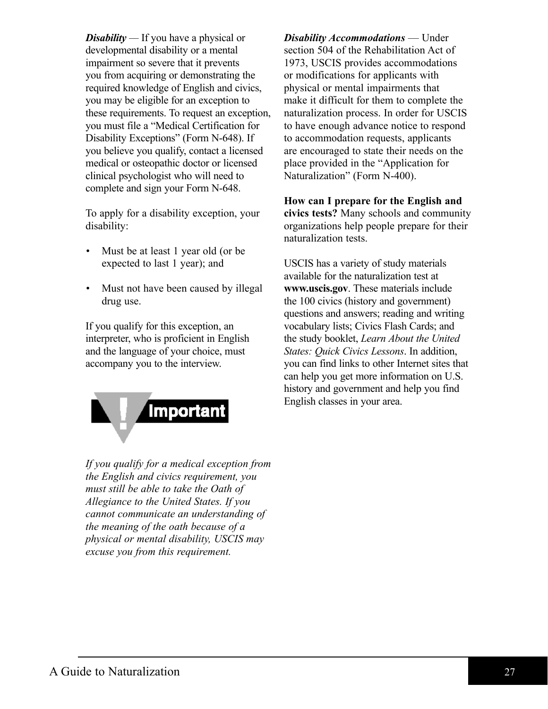*Disability* — If you have a physical or developmental disability or a mental impairment so severe that it prevents you from acquiring or demonstrating the required knowledge of English and civics, you may be eligible for an exception to these requirements. To request an exception, you must file a "Medical Certification for Disability Exceptions" (Form N-648). If you believe you qualify, contact a licensed medical or osteopathic doctor or licensed clinical psychologist who will need to complete and sign your Form N-648.

To apply for a disability exception, your disability:

- Must be at least 1 year old (or be expected to last 1 year); and
- Must not have been caused by illegal drug use.

If you qualify for this exception, an interpreter, who is proficient in English and the language of your choice, must accompany you to the interview.

**Important** 

*If you qualify for a medical exception from the English and civics requirement, you must still be able to take the Oath of Allegiance to the United States. If you cannot communicate an understanding of the meaning of the oath because of a physical or mental disability, USCIS may excuse you from this requirement.*

*Disability Accommodations* — Under section 504 of the Rehabilitation Act of 1973, USCIS provides accommodations or modifications for applicants with physical or mental impairments that make it difficult for them to complete the naturalization process. In order for USCIS to have enough advance notice to respond to accommodation requests, applicants are encouraged to state their needs on the place provided in the "Application for Naturalization" (Form N-400).

**How can I prepare for the English and civics tests?** Many schools and community organizations help people prepare for their naturalization tests.

USCIS has a variety of study materials available for the naturalization test at **www.uscis.gov**. These materials include the 100 civics (history and government) questions and answers; reading and writing vocabulary lists; Civics Flash Cards; and the study booklet, *Learn About the United States: Quick Civics Lessons*. In addition, you can find links to other Internet sites that can help you get more information on U.S. history and government and help you find English classes in your area.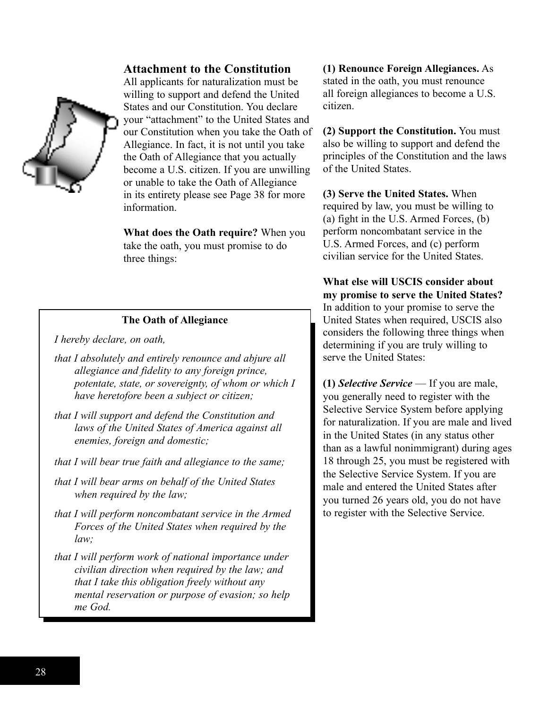#### **Attachment to the Constitution**



All applicants for naturalization must be willing to support and defend the United States and our Constitution. You declare your "attachment" to the United States and our Constitution when you take the Oath of Allegiance. In fact, it is not until you take the Oath of Allegiance that you actually become a U.S. citizen. If you are unwilling or unable to take the Oath of Allegiance in its entirety please see Page 38 for more information.

**What does the Oath require?** When you take the oath, you must promise to do three things:

#### **The Oath of Allegiance**

*I hereby declare, on oath,*

- *that I absolutely and entirely renounce and abjure all allegiance and fidelity to any foreign prince, potentate, state, or sovereignty, of whom or which I have heretofore been a subject or citizen;*
- *that I will support and defend the Constitution and laws of the United States of America against all enemies, foreign and domestic;*
- *that I will bear true faith and allegiance to the same;*
- *that I will bear arms on behalf of the United States when required by the law;*
- *that I will perform noncombatant service in the Armed Forces of the United States when required by the law;*
- *that I will perform work of national importance under civilian direction when required by the law; and that I take this obligation freely without any mental reservation or purpose of evasion; so help me God.*

**(1) Renounce Foreign Allegiances.** As stated in the oath, you must renounce all foreign allegiances to become a U.S. citizen.

**(2) Support the Constitution.** You must also be willing to support and defend the principles of the Constitution and the laws of the United States.

**(3) Serve the United States.** When required by law, you must be willing to (a) fight in the U.S. Armed Forces, (b) perform noncombatant service in the U.S. Armed Forces, and (c) perform civilian service for the United States.

**What else will USCIS consider about my promise to serve the United States?**  In addition to your promise to serve the United States when required, USCIS also considers the following three things when determining if you are truly willing to serve the United States:

**(1)** *Selective Service* — If you are male, you generally need to register with the Selective Service System before applying for naturalization. If you are male and lived in the United States (in any status other than as a lawful nonimmigrant) during ages 18 through 25, you must be registered with the Selective Service System. If you are male and entered the United States after you turned 26 years old, you do not have to register with the Selective Service.